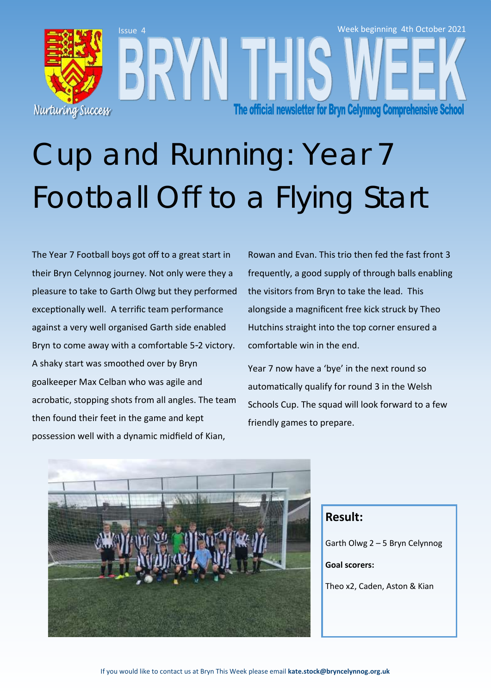

## Cup and Running: Year 7 Football Off to a Flying Start

The Year 7 Football boys got off to a great start in their Bryn Celynnog journey. Not only were they a pleasure to take to Garth Olwg but they performed exceptionally well. A terrific team performance against a very well organised Garth side enabled Bryn to come away with a comfortable 5-2 victory. A shaky start was smoothed over by Bryn goalkeeper Max Celban who was agile and acrobatic, stopping shots from all angles. The team then found their feet in the game and kept possession well with a dynamic midfield of Kian,

Rowan and Evan. This trio then fed the fast front 3 frequently, a good supply of through balls enabling the visitors from Bryn to take the lead. This alongside a magnificent free kick struck by Theo Hutchins straight into the top corner ensured a comfortable win in the end.

Year 7 now have a 'bye' in the next round so automatically qualify for round 3 in the Welsh Schools Cup. The squad will look forward to a few friendly games to prepare.



#### **Result:**

Garth Olwg 2 – 5 Bryn Celynnog

**Goal scorers:** 

Theo x2, Caden, Aston & Kian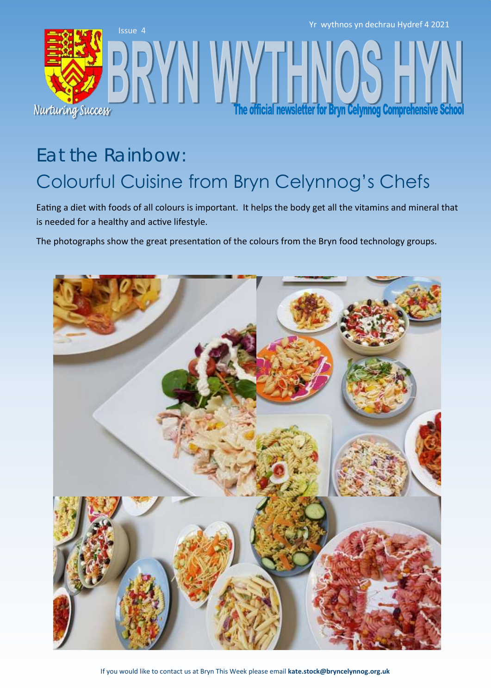

### Eat the Rainbow: Colourful Cuisine from Bryn Celynnog's Chefs

Eating a diet with foods of all colours is important. It helps the body get all the vitamins and mineral that is needed for a healthy and active lifestyle.

The photographs show the great presentation of the colours from the Bryn food technology groups.

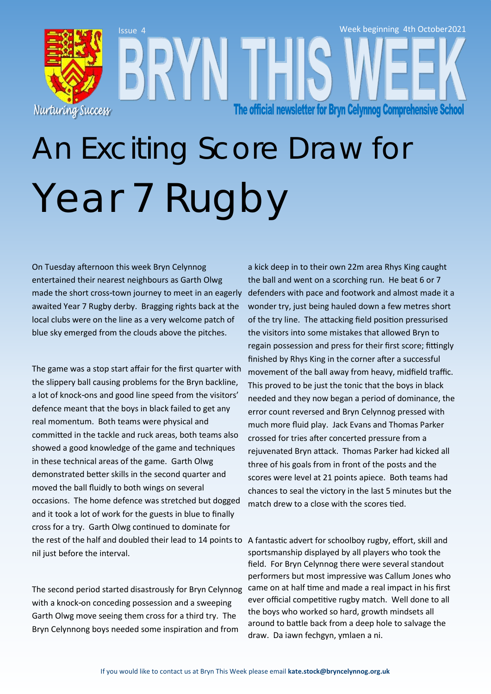

# An Exciting Score Draw for Year 7 Rugby

On Tuesday afternoon this week Bryn Celynnog entertained their nearest neighbours as Garth Olwg made the short cross-town journey to meet in an eagerly awaited Year 7 Rugby derby. Bragging rights back at the local clubs were on the line as a very welcome patch of blue sky emerged from the clouds above the pitches.

The game was a stop start affair for the first quarter with the slippery ball causing problems for the Bryn backline, a lot of knock-ons and good line speed from the visitors' defence meant that the boys in black failed to get any real momentum. Both teams were physical and committed in the tackle and ruck areas, both teams also showed a good knowledge of the game and techniques in these technical areas of the game. Garth Olwg demonstrated better skills in the second quarter and moved the ball fluidly to both wings on several occasions. The home defence was stretched but dogged and it took a lot of work for the guests in blue to finally cross for a try. Garth Olwg continued to dominate for the rest of the half and doubled their lead to 14 points to A fantastic advert for schoolboy rugby, effort, skill and nil just before the interval.

The second period started disastrously for Bryn Celynnog with a knock-on conceding possession and a sweeping Garth Olwg move seeing them cross for a third try. The Bryn Celynnong boys needed some inspiration and from

a kick deep in to their own 22m area Rhys King caught the ball and went on a scorching run. He beat 6 or 7 defenders with pace and footwork and almost made it a wonder try, just being hauled down a few metres short of the try line. The attacking field position pressurised the visitors into some mistakes that allowed Bryn to regain possession and press for their first score; fittingly finished by Rhys King in the corner after a successful movement of the ball away from heavy, midfield traffic. This proved to be just the tonic that the boys in black needed and they now began a period of dominance, the error count reversed and Bryn Celynnog pressed with much more fluid play. Jack Evans and Thomas Parker crossed for tries after concerted pressure from a rejuvenated Bryn attack. Thomas Parker had kicked all three of his goals from in front of the posts and the scores were level at 21 points apiece. Both teams had chances to seal the victory in the last 5 minutes but the match drew to a close with the scores tied.

sportsmanship displayed by all players who took the field. For Bryn Celynnog there were several standout performers but most impressive was Callum Jones who came on at half time and made a real impact in his first ever official competitive rugby match. Well done to all the boys who worked so hard, growth mindsets all around to battle back from a deep hole to salvage the draw. Da iawn fechgyn, ymlaen a ni.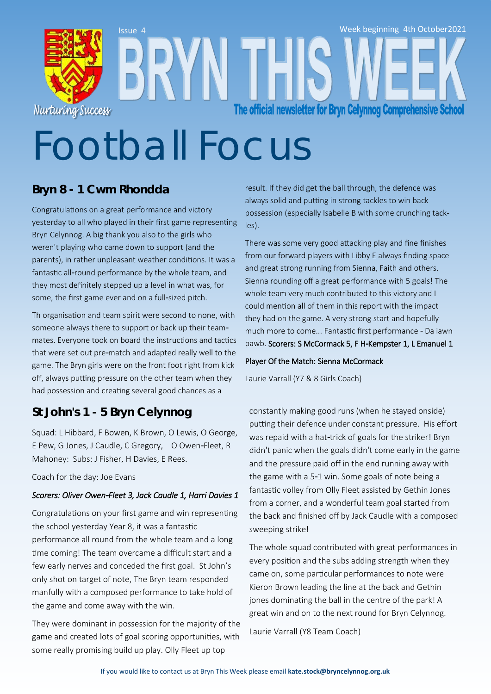

# Football Focus

### **Bryn 8 - 1 Cwm Rhondda**

Congratulations on a great performance and victory yesterday to all who played in their first game representing Bryn Celynnog. A big thank you also to the girls who weren't playing who came down to support (and the parents), in rather unpleasant weather conditions. It was a fantastic all-round performance by the whole team, and they most definitely stepped up a level in what was, for some, the first game ever and on a full-sized pitch.

Th organisation and team spirit were second to none, with someone always there to support or back up their teammates. Everyone took on board the instructions and tactics that were set out pre-match and adapted really well to the game. The Bryn girls were on the front foot right from kick off, always putting pressure on the other team when they had possession and creating several good chances as a

### **St John's 1 - 5 Bryn Celynnog**

Squad: L Hibbard, F Bowen, K Brown, O Lewis, O George, E Pew, G Jones, J Caudle, C Gregory, O Owen-Fleet, R Mahoney: Subs: J Fisher, H Davies, E Rees.

Coach for the day: Joe Evans

#### *Scorers: Oliver Owen-Fleet 3, Jack Caudle 1, Harri Davies 1*

Congratulations on your first game and win representing the school yesterday Year 8, it was a fantastic performance all round from the whole team and a long time coming! The team overcame a difficult start and a few early nerves and conceded the first goal. St John's only shot on target of note, The Bryn team responded manfully with a composed performance to take hold of the game and come away with the win.

They were dominant in possession for the majority of the game and created lots of goal scoring opportunities, with some really promising build up play. Olly Fleet up top

result. If they did get the ball through, the defence was always solid and putting in strong tackles to win back possession (especially Isabelle B with some crunching tackles).

There was some very good attacking play and fine finishes from our forward players with Libby E always finding space and great strong running from Sienna, Faith and others. Sienna rounding off a great performance with 5 goals! The whole team very much contributed to this victory and I could mention all of them in this report with the impact they had on the game. A very strong start and hopefully much more to come... Fantastic first performance - Da iawn pawb. Scorers: S McCormack 5, F H-Kempster 1, L Emanuel 1

#### Player Of the Match: Sienna McCormack

Laurie Varrall (Y7 & 8 Girls Coach)

constantly making good runs (when he stayed onside) putting their defence under constant pressure. His effort was repaid with a hat-trick of goals for the striker! Bryn didn't panic when the goals didn't come early in the game and the pressure paid off in the end running away with the game with a 5-1 win. Some goals of note being a fantastic volley from Olly Fleet assisted by Gethin Jones from a corner, and a wonderful team goal started from the back and finished off by Jack Caudle with a composed sweeping strike!

The whole squad contributed with great performances in every position and the subs adding strength when they came on, some particular performances to note were Kieron Brown leading the line at the back and Gethin jones dominating the ball in the centre of the park! A great win and on to the next round for Bryn Celynnog.

Laurie Varrall (Y8 Team Coach)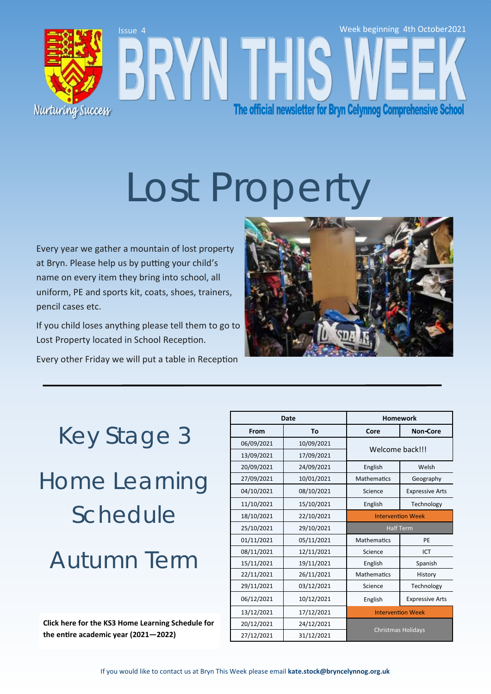

# Lost Propert

Every year we gather a mountain of lost property at Bryn. Please help us by putting your child's name on every item they bring into school, all uniform, PE and sports kit, coats, shoes, trainers, pencil cases etc.

If you child loses anything please tell them to go to Lost Property located in School Reception.

Every other Friday we will put a table in Reception



### Key Stage 3

Home Learning Schedule

### Autumn Term

**[Click here for the KS3 Home Learning Schedule for](https://bryncelynnog.org.uk/wp-content/uploads/2021/09/KS3-Homework-Schedule-2021-22_final.pdf)  the entire academic year (2021—2022)**

| Date       |            | <b>Homework</b>           |                        |
|------------|------------|---------------------------|------------------------|
| From       | То         | Core                      | <b>Non-Core</b>        |
| 06/09/2021 | 10/09/2021 | Welcome back!!!           |                        |
| 13/09/2021 | 17/09/2021 |                           |                        |
| 20/09/2021 | 24/09/2021 | English                   | Welsh                  |
| 27/09/2021 | 10/01/2021 | <b>Mathematics</b>        | Geography              |
| 04/10/2021 | 08/10/2021 | Science                   | <b>Expressive Arts</b> |
| 11/10/2021 | 15/10/2021 | English                   | Technology             |
| 18/10/2021 | 22/10/2021 | <b>Intervention Week</b>  |                        |
| 25/10/2021 | 29/10/2021 | <b>Half Term</b>          |                        |
| 01/11/2021 | 05/11/2021 | <b>Mathematics</b>        | PE                     |
| 08/11/2021 | 12/11/2021 | Science                   | ICT                    |
| 15/11/2021 | 19/11/2021 | English                   | Spanish                |
| 22/11/2021 | 26/11/2021 | <b>Mathematics</b>        | History                |
| 29/11/2021 | 03/12/2021 | Science                   | Technology             |
| 06/12/2021 | 10/12/2021 | English                   | <b>Expressive Arts</b> |
| 13/12/2021 | 17/12/2021 | <b>Intervention Week</b>  |                        |
| 20/12/2021 | 24/12/2021 | <b>Christmas Holidays</b> |                        |
| 27/12/2021 | 31/12/2021 |                           |                        |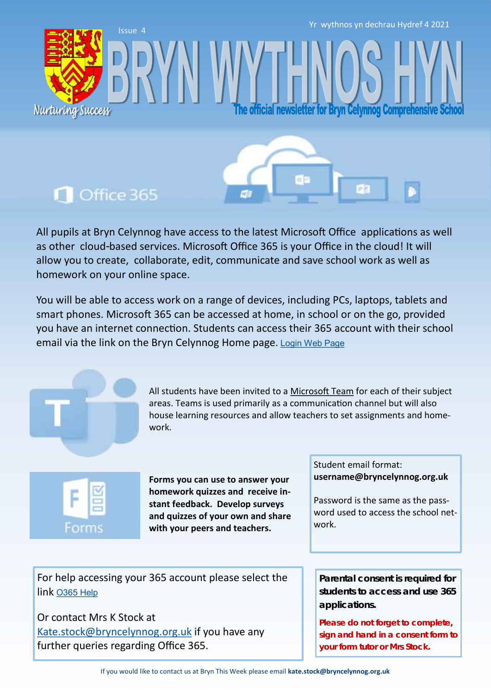Yr wythnos yn dechrau Hydref 4 2021

fficial newsletter for Bryn Celynnog Comprehensive

### **n** Office 365

Nurturing Success

Issue 4

All pupils at Bryn Celynnog have access to the latest Microsoft Office applications as well as other cloud-based services. Microsoft Office 365 is your Office in the cloud! It will allow you to create, collaborate, edit, communicate and save school work as well as homework on your online space.

You will be able to access work on a range of devices, including PCs, laptops, tablets and smart phones. Microsoft 365 can be accessed at home, in school or on the go, provided you have an internet connection. Students can access their 365 account with their school email via the link on the Bryn Celynnog Home page. [Login Web Page](https://www.office.com/)



All students have been invited to a [Microsoft Team](https://teams.microsoft.com/edustart) for each of their subject areas. Teams is used primarily as a communication channel but will also house learning resources and allow teachers to set assignments and homework.



**Forms you can use to answer your homework quizzes and receive instant feedback. Develop surveys and quizzes of your own and share with your peers and teachers.** 

Student email format: **username@bryncelynnog.org.uk** 

Password is the same as the password used to access the school network.

For help accessing your 365 account please select the link [O365 Help](https://bryncelynnog.org.uk/wp-content/uploads/2021/09/Accessing-your-Office-365-Account.pdf)

Or contact Mrs K Stock at [Kate.stock@bryncelynnog.org.uk](mailto:kate.stock@bryncelynnog.orguk) if you have any further queries regarding Office 365.

**Parental consent is required for students to access and use 365 applications.**

**Please do not forget to complete, sign and hand in a consent form to your form tutor or Mrs Stock.**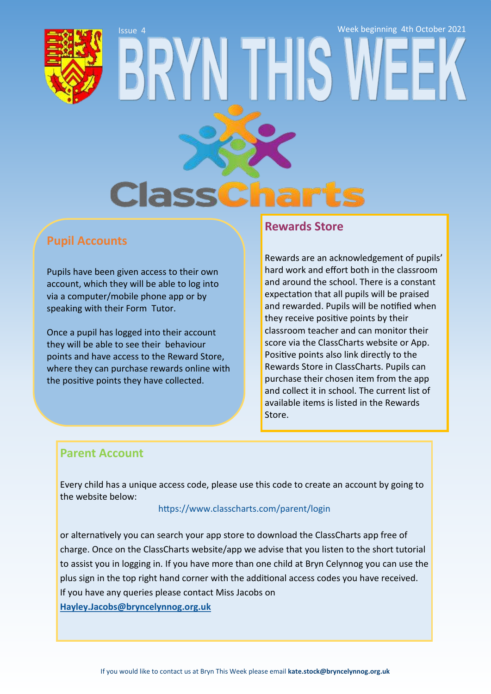Issue 4 Week beginning 4th October 2021**Class** 

### **Pupil Accounts**

Pupils have been given access to their own account, which they will be able to log into via a computer/mobile phone app or by speaking with their Form Tutor.

Once a pupil has logged into their account they will be able to see their behaviour points and have access to the Reward Store, where they can purchase rewards online with the positive points they have collected.

#### **Rewards Store**

Rewards are an acknowledgement of pupils' hard work and effort both in the classroom and around the school. There is a constant expectation that all pupils will be praised and rewarded. Pupils will be notified when they receive positive points by their classroom teacher and can monitor their score via the ClassCharts website or App. Positive points also link directly to the Rewards Store in ClassCharts. Pupils can purchase their chosen item from the app and collect it in school. The current list of available items is listed in the Rewards Store.

### **Parent Account**

Every child has a unique access code, please use this code to create an account by going to the website below:

#### <https://www.classcharts.com/parent/login>

or alternatively you can search your app store to download the ClassCharts app free of charge. Once on the ClassCharts website/app we advise that you listen to the short tutorial to assist you in logging in. If you have more than one child at Bryn Celynnog you can use the plus sign in the top right hand corner with the additional access codes you have received. If you have any queries please contact Miss Jacobs on **[Hayley.Jacobs@bryncelynnog.org.uk](mailto:hayley.jacobs@bryncelynnog.org.uk)**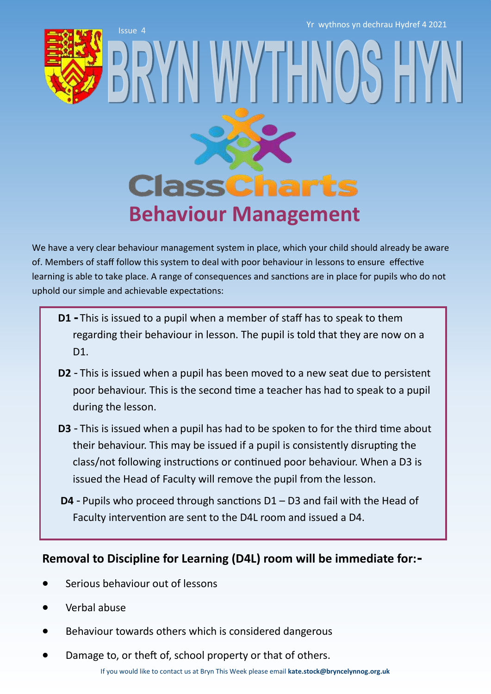Yr wythnos yn dechrau Hydref 4 2021

Issue 4



## **ClassCharts Behaviour Management**

WY I FIN

We have a very clear behaviour management system in place, which your child should already be aware of. Members of staff follow this system to deal with poor behaviour in lessons to ensure effective learning is able to take place. A range of consequences and sanctions are in place for pupils who do not uphold our simple and achievable expectations:

- **D1 -** This is issued to a pupil when a member of staff has to speak to them regarding their behaviour in lesson. The pupil is told that they are now on a D<sub>1</sub>.
- **D2** This is issued when a pupil has been moved to a new seat due to persistent poor behaviour. This is the second time a teacher has had to speak to a pupil during the lesson.
- **D3**  This is issued when a pupil has had to be spoken to for the third time about their behaviour. This may be issued if a pupil is consistently disrupting the class/not following instructions or continued poor behaviour. When a D3 is issued the Head of Faculty will remove the pupil from the lesson.
- **D4** Pupils who proceed through sanctions D1 D3 and fail with the Head of Faculty intervention are sent to the D4L room and issued a D4.

### **Removal to Discipline for Learning (D4L) room will be immediate for:-**

- Serious behaviour out of lessons
- Verbal abuse
- Behaviour towards others which is considered dangerous
- Damage to, or theft of, school property or that of others.